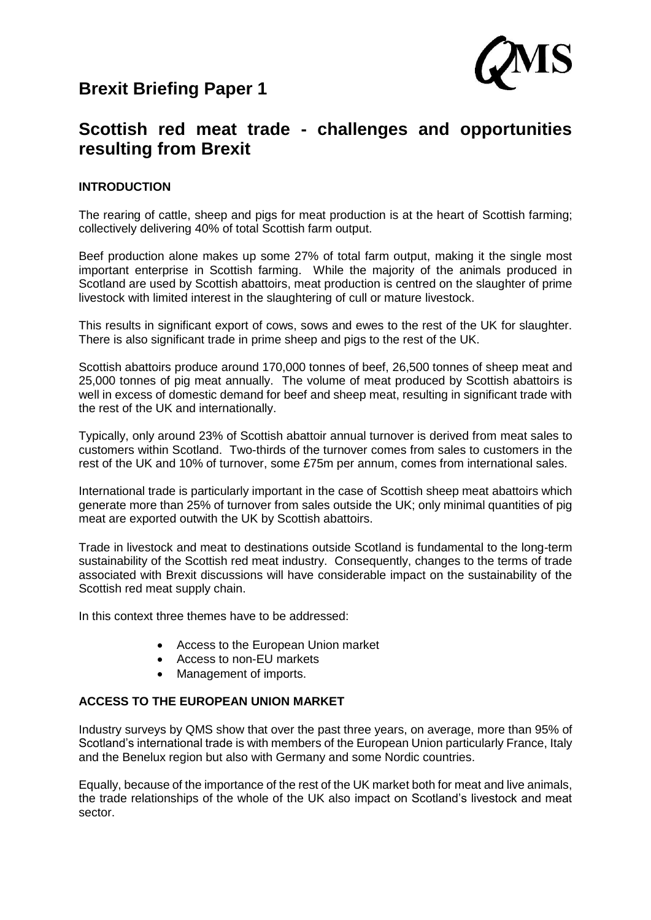# **Brexit Briefing Paper 1**



## **Scottish red meat trade - challenges and opportunities resulting from Brexit**

## **INTRODUCTION**

The rearing of cattle, sheep and pigs for meat production is at the heart of Scottish farming: collectively delivering 40% of total Scottish farm output.

Beef production alone makes up some 27% of total farm output, making it the single most important enterprise in Scottish farming. While the majority of the animals produced in Scotland are used by Scottish abattoirs, meat production is centred on the slaughter of prime livestock with limited interest in the slaughtering of cull or mature livestock.

This results in significant export of cows, sows and ewes to the rest of the UK for slaughter. There is also significant trade in prime sheep and pigs to the rest of the UK.

Scottish abattoirs produce around 170,000 tonnes of beef, 26,500 tonnes of sheep meat and 25,000 tonnes of pig meat annually. The volume of meat produced by Scottish abattoirs is well in excess of domestic demand for beef and sheep meat, resulting in significant trade with the rest of the UK and internationally.

Typically, only around 23% of Scottish abattoir annual turnover is derived from meat sales to customers within Scotland. Two-thirds of the turnover comes from sales to customers in the rest of the UK and 10% of turnover, some £75m per annum, comes from international sales.

International trade is particularly important in the case of Scottish sheep meat abattoirs which generate more than 25% of turnover from sales outside the UK; only minimal quantities of pig meat are exported outwith the UK by Scottish abattoirs.

Trade in livestock and meat to destinations outside Scotland is fundamental to the long-term sustainability of the Scottish red meat industry. Consequently, changes to the terms of trade associated with Brexit discussions will have considerable impact on the sustainability of the Scottish red meat supply chain.

In this context three themes have to be addressed:

- Access to the European Union market
- Access to non-EU markets
- Management of imports.

## **ACCESS TO THE EUROPEAN UNION MARKET**

Industry surveys by QMS show that over the past three years, on average, more than 95% of Scotland's international trade is with members of the European Union particularly France, Italy and the Benelux region but also with Germany and some Nordic countries.

Equally, because of the importance of the rest of the UK market both for meat and live animals. the trade relationships of the whole of the UK also impact on Scotland's livestock and meat sector.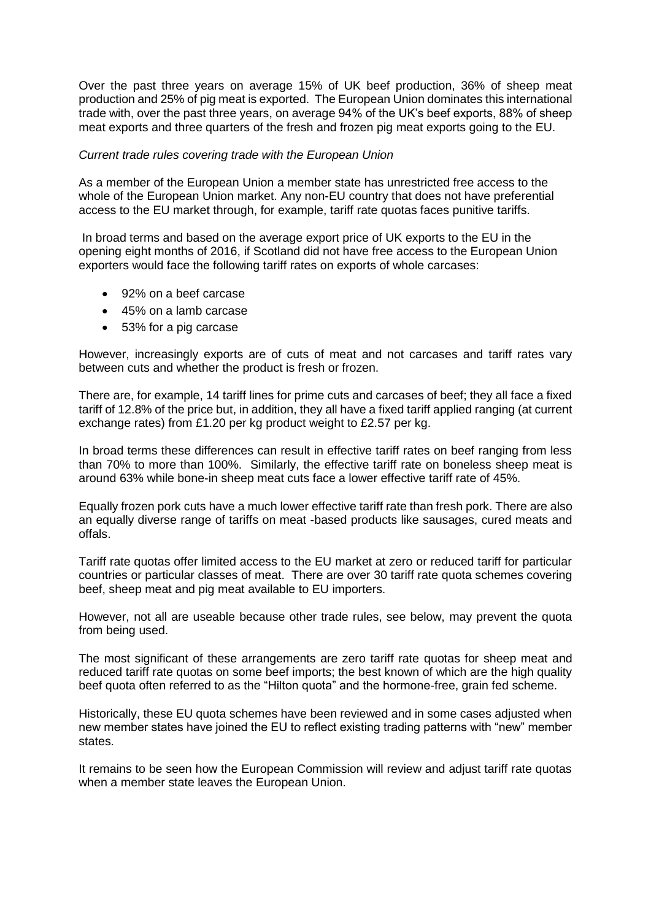Over the past three years on average 15% of UK beef production, 36% of sheep meat production and 25% of pig meat is exported. The European Union dominates this international trade with, over the past three years, on average 94% of the UK's beef exports, 88% of sheep meat exports and three quarters of the fresh and frozen pig meat exports going to the EU.

### *Current trade rules covering trade with the European Union*

As a member of the European Union a member state has unrestricted free access to the whole of the European Union market. Any non-EU country that does not have preferential access to the EU market through, for example, tariff rate quotas faces punitive tariffs.

In broad terms and based on the average export price of UK exports to the EU in the opening eight months of 2016, if Scotland did not have free access to the European Union exporters would face the following tariff rates on exports of whole carcases:

- 92% on a beef carcase
- 45% on a lamb carcase
- 53% for a pig carcase

However, increasingly exports are of cuts of meat and not carcases and tariff rates vary between cuts and whether the product is fresh or frozen.

There are, for example, 14 tariff lines for prime cuts and carcases of beef; they all face a fixed tariff of 12.8% of the price but, in addition, they all have a fixed tariff applied ranging (at current exchange rates) from £1.20 per kg product weight to £2.57 per kg.

In broad terms these differences can result in effective tariff rates on beef ranging from less than 70% to more than 100%. Similarly, the effective tariff rate on boneless sheep meat is around 63% while bone-in sheep meat cuts face a lower effective tariff rate of 45%.

Equally frozen pork cuts have a much lower effective tariff rate than fresh pork. There are also an equally diverse range of tariffs on meat -based products like sausages, cured meats and offals.

Tariff rate quotas offer limited access to the EU market at zero or reduced tariff for particular countries or particular classes of meat. There are over 30 tariff rate quota schemes covering beef, sheep meat and pig meat available to EU importers.

However, not all are useable because other trade rules, see below, may prevent the quota from being used.

The most significant of these arrangements are zero tariff rate quotas for sheep meat and reduced tariff rate quotas on some beef imports; the best known of which are the high quality beef quota often referred to as the "Hilton quota" and the hormone-free, grain fed scheme.

Historically, these EU quota schemes have been reviewed and in some cases adjusted when new member states have joined the EU to reflect existing trading patterns with "new" member states.

It remains to be seen how the European Commission will review and adjust tariff rate quotas when a member state leaves the European Union.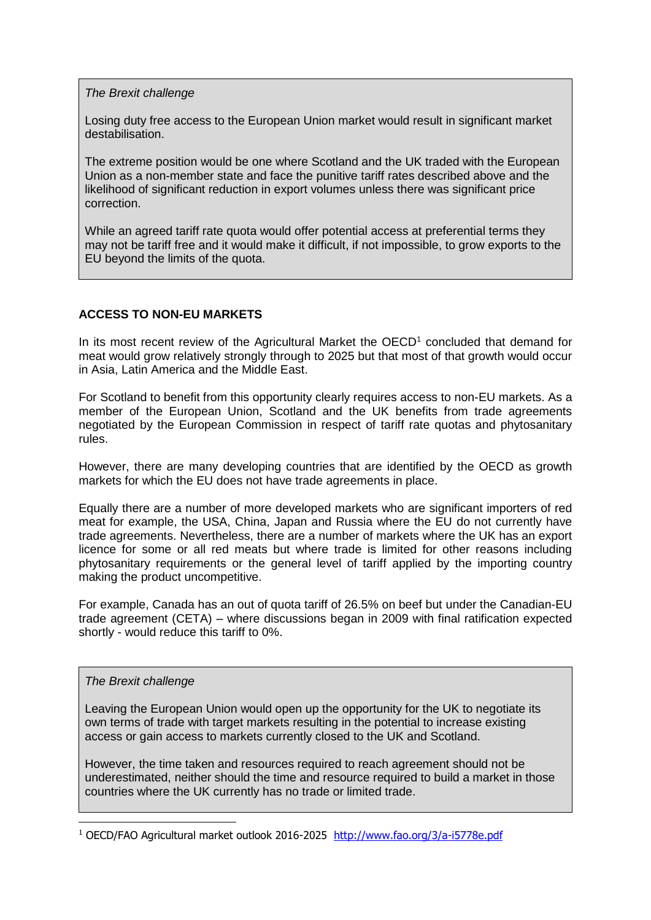*The Brexit challenge*

Losing duty free access to the European Union market would result in significant market destabilisation.

The extreme position would be one where Scotland and the UK traded with the European Union as a non-member state and face the punitive tariff rates described above and the likelihood of significant reduction in export volumes unless there was significant price correction.

While an agreed tariff rate quota would offer potential access at preferential terms they may not be tariff free and it would make it difficult, if not impossible, to grow exports to the EU beyond the limits of the quota.

## **ACCESS TO NON-EU MARKETS**

In its most recent review of the Agricultural Market the OECD<sup>1</sup> concluded that demand for meat would grow relatively strongly through to 2025 but that most of that growth would occur in Asia, Latin America and the Middle East.

For Scotland to benefit from this opportunity clearly requires access to non-EU markets. As a member of the European Union, Scotland and the UK benefits from trade agreements negotiated by the European Commission in respect of tariff rate quotas and phytosanitary rules.

However, there are many developing countries that are identified by the OECD as growth markets for which the EU does not have trade agreements in place.

Equally there are a number of more developed markets who are significant importers of red meat for example, the USA, China, Japan and Russia where the EU do not currently have trade agreements. Nevertheless, there are a number of markets where the UK has an export licence for some or all red meats but where trade is limited for other reasons including phytosanitary requirements or the general level of tariff applied by the importing country making the product uncompetitive.

For example, Canada has an out of quota tariff of 26.5% on beef but under the Canadian-EU trade agreement (CETA) – where discussions began in 2009 with final ratification expected shortly - would reduce this tariff to 0%.

#### *The Brexit challenge*

-

Leaving the European Union would open up the opportunity for the UK to negotiate its own terms of trade with target markets resulting in the potential to increase existing access or gain access to markets currently closed to the UK and Scotland.

However, the time taken and resources required to reach agreement should not be underestimated, neither should the time and resource required to build a market in those countries where the UK currently has no trade or limited trade.

<sup>1</sup> OECD/FAO Agricultural market outlook 2016-2025 <http://www.fao.org/3/a-i5778e.pdf>